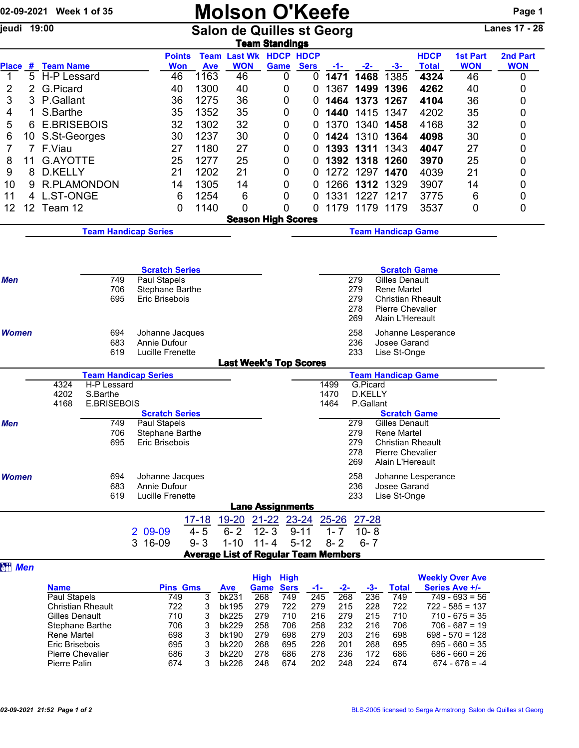|                |             | 02-09-2021 Week 1 of 35                       |                        |            |                                              |            | <b>Molson O'Keefe</b>                                     |                         |                           |             |                  |              |                                       |                             |                                    | Page 1                 |
|----------------|-------------|-----------------------------------------------|------------------------|------------|----------------------------------------------|------------|-----------------------------------------------------------|-------------------------|---------------------------|-------------|------------------|--------------|---------------------------------------|-----------------------------|------------------------------------|------------------------|
| jeudi 19:00    |             |                                               |                        |            |                                              |            | <b>Salon de Quilles st Georg</b>                          |                         | <b>Team Standings</b>     |             |                  |              |                                       |                             |                                    | <b>Lanes 17 - 28</b>   |
|                |             | Place # Team Name                             |                        |            | <b>Points</b><br><b>Won</b>                  | <b>Ave</b> | <b>Team Last Wk HDCP HDCP</b><br><b>WON</b>               |                         | Game                      | <b>Sers</b> |                  | $-2-$        | $-3-$                                 | <b>HDCP</b><br><b>Total</b> | <b>1st Part</b><br><b>WON</b>      | 2nd Part<br><b>WON</b> |
| 1              | 5           | H-P Lessard                                   |                        |            | 46                                           | 1163       | 46                                                        |                         | 0                         | 0           | -1-<br>1471      | 1468         | 1385                                  | 4324                        | 46                                 | 0                      |
| 2              | 2           | G.Picard                                      |                        |            | 40                                           | 1300       | 40                                                        |                         | 0                         | 0           | 1367             | 1499         | 1396                                  | 4262                        | 40                                 | 0                      |
| 3              | 3           | P.Gallant                                     |                        |            | 36                                           | 1275       | 36                                                        |                         | 0                         | 0           | 1464             | 1373         | 1267                                  | 4104                        | 36                                 | 0                      |
| 4              | 1           | S.Barthe                                      |                        |            | 35                                           | 1352       | 35                                                        |                         | 0                         | 0           | 1440             | 1415         | 1347                                  | 4202                        | 35                                 | 0                      |
| 5              | 6           | <b>E.BRISEBOIS</b>                            |                        |            | 32                                           | 1302       | 32                                                        |                         | 0                         | 0           | 1370             | 1340         | 1458                                  | 4168                        | 32                                 | 0                      |
| 6              | 10          | S.St-Georges                                  |                        |            | 30                                           | 1237       | 30                                                        |                         | 0                         | 0           | 1424             | 1310         | 1364                                  | 4098                        | 30                                 | 0                      |
| 7              | $7^{\circ}$ | F.Viau                                        |                        |            | 27                                           | 1180       | 27                                                        |                         | 0                         | 0           | 1393             | 1311         | 1343                                  | 4047                        | 27                                 | 0                      |
| 8              | 11          | <b>G.AYOTTE</b>                               |                        |            | 25                                           | 1277       | 25                                                        |                         | 0                         | 0           |                  | 1392 1318    | 1260                                  | 3970                        | 25                                 | 0                      |
| 9              | 8           | D.KELLY                                       |                        |            | 21                                           | 1202       | 21                                                        |                         | 0                         | 0           | 1272             | 1297         | 1470                                  | 4039                        | 21                                 | 0                      |
| 10             | 9           | <b>R.PLAMONDON</b>                            |                        |            | 14                                           | 1305       | 14                                                        |                         | 0                         | 0           | 1266             | 1312         | 1329                                  | 3907                        | 14                                 | 0                      |
| 11             | 4           | <b>L.ST-ONGE</b>                              |                        |            | 6                                            | 1254       | 6                                                         |                         | 0                         | 0           | 1331             | 1227         | 1217                                  | 3775                        | 6                                  | 0                      |
| 12             | 12          | Team 12                                       |                        |            | 0                                            | 1140       | 0                                                         |                         | 0                         | 0           | 1179             |              | 1179 1179                             | 3537                        | 0                                  | 0                      |
|                |             |                                               |                        |            |                                              |            |                                                           |                         | <b>Season High Scores</b> |             |                  |              |                                       |                             |                                    |                        |
|                |             |                                               |                        |            | <b>Team Handicap Series</b>                  |            |                                                           |                         |                           |             |                  |              | <b>Team Handicap Game</b>             |                             |                                    |                        |
|                |             |                                               |                        |            |                                              |            |                                                           |                         |                           |             |                  |              |                                       |                             |                                    |                        |
|                |             |                                               |                        |            | <b>Scratch Series</b>                        |            |                                                           |                         |                           |             |                  |              | <b>Scratch Game</b>                   |                             |                                    |                        |
| <b>Men</b>     |             | 749<br>Paul Stapels<br>706<br>Stephane Barthe |                        |            |                                              |            | <b>Gilles Denault</b><br>279<br>279<br><b>Rene Martel</b> |                         |                           |             |                  |              |                                       |                             |                                    |                        |
|                |             |                                               |                        | 695        | Eric Brisebois                               |            |                                                           |                         |                           |             |                  | 279          | <b>Christian Rheault</b>              |                             |                                    |                        |
|                |             |                                               |                        |            |                                              |            |                                                           |                         |                           |             |                  | 278          | <b>Pierre Chevalier</b>               |                             |                                    |                        |
|                |             |                                               |                        |            |                                              |            |                                                           |                         |                           |             |                  | 269          | Alain L'Hereault                      |                             |                                    |                        |
| Women          |             |                                               | 694<br>Johanne Jacques |            |                                              |            |                                                           |                         |                           |             |                  | 258          |                                       | Johanne Lesperance          |                                    |                        |
|                |             |                                               |                        | 683        | Annie Dufour                                 |            |                                                           |                         |                           |             |                  | 236          | Josee Garand                          |                             |                                    |                        |
|                |             |                                               |                        | 619        | Lucille Frenette                             |            | <b>Last Week's Top Scores</b>                             |                         |                           |             |                  | 233          | Lise St-Onge                          |                             |                                    |                        |
|                |             |                                               |                        |            | <b>Team Handicap Series</b>                  |            |                                                           |                         |                           |             |                  |              | <b>Team Handicap Game</b>             |                             |                                    |                        |
|                |             | 4324                                          | H-P Lessard            |            |                                              |            |                                                           |                         |                           |             | 1499             | G.Picard     |                                       |                             |                                    |                        |
|                |             | 4202                                          | S.Barthe               |            |                                              |            |                                                           |                         |                           |             | 1470             | D.KELLY      |                                       |                             |                                    |                        |
|                |             | 4168                                          | <b>E.BRISEBOIS</b>     |            |                                              |            |                                                           |                         |                           |             | 1464             | P.Gallant    |                                       |                             |                                    |                        |
| Men            |             |                                               |                        | 749        | <b>Scratch Series</b><br><b>Paul Stapels</b> |            |                                                           |                         |                           |             |                  | 279          | <b>Scratch Game</b><br>Gilles Denault |                             |                                    |                        |
|                |             |                                               |                        | 706        | Stephane Barthe                              |            |                                                           |                         |                           |             |                  | 279          | Rene Martel                           |                             |                                    |                        |
|                |             |                                               |                        | 695        | Eric Brisebois                               |            |                                                           |                         |                           |             |                  | 279          | <b>Christian Rheault</b>              |                             |                                    |                        |
|                |             |                                               |                        |            |                                              |            |                                                           |                         |                           |             |                  | 278          | <b>Pierre Chevalier</b>               |                             |                                    |                        |
|                |             |                                               |                        |            |                                              |            |                                                           |                         |                           |             |                  | 269          | Alain L'Hereault                      |                             |                                    |                        |
| <b>Women</b>   |             |                                               |                        | 694        | Johanne Jacques                              |            |                                                           |                         |                           |             |                  | 258          |                                       | Johanne Lesperance          |                                    |                        |
|                |             |                                               |                        | 683<br>619 | Annie Dufour<br>Lucille Frenette             |            |                                                           |                         |                           |             |                  | 236<br>233   | Josee Garand<br>Lise St-Onge          |                             |                                    |                        |
|                |             |                                               |                        |            |                                              |            |                                                           |                         | <b>Lane Assignments</b>   |             |                  |              |                                       |                             |                                    |                        |
|                |             |                                               |                        |            |                                              | $17 - 18$  | $19 - 20$                                                 |                         | 21-22 23-24               |             | <u>25-26</u>     | <u>27-28</u> |                                       |                             |                                    |                        |
|                |             |                                               |                        |            | 2 09-09                                      | $4 - 5$    | $6 - 2$                                                   | $12 - 3$                | $9 - 11$                  |             | $1 - 7$          | $10 - 8$     |                                       |                             |                                    |                        |
|                |             |                                               |                        |            | 3 16-09                                      | $9 - 3$    | $1 - 10$                                                  | $11 - 4$                | $5 - 12$                  |             | $8 - 2$          | $6 - 7$      |                                       |                             |                                    |                        |
|                |             |                                               |                        |            |                                              |            | <b>Average List of Regular Team Members</b>               |                         |                           |             |                  |              |                                       |                             |                                    |                        |
| <b>Att Men</b> |             |                                               |                        |            |                                              |            |                                                           |                         |                           |             |                  |              |                                       |                             |                                    |                        |
|                |             |                                               |                        |            |                                              |            |                                                           | <b>High High</b>        |                           |             |                  |              |                                       |                             | <b>Weekly Over Ave</b>             |                        |
|                |             | <b>Name</b><br>Paul Stanels                   |                        |            | <b>Pins Gms</b><br>749                       | 3          | <b>Ave</b><br>hk231                                       | <b>Game Sers</b><br>268 | 749                       | 245         | $\overline{268}$ | 236          | <b>Total</b><br>749                   |                             | Series Ave +/-<br>$749 - 693 = 56$ |                        |
|                |             |                                               |                        |            |                                              |            |                                                           |                         |                           |             |                  |              |                                       |                             |                                    |                        |

| <b>Name</b>              | <b>Pins Gms</b> | <b>Ave</b> | Game | <b>Sers</b> | -1- | -2- | -3- | Total | Series Ave +/-    |
|--------------------------|-----------------|------------|------|-------------|-----|-----|-----|-------|-------------------|
| Paul Stapels             | 749             | bk231      | 268  | 749         | 245 | 268 | 236 | 749   | $749 - 693 = 56$  |
| <b>Christian Rheault</b> | 722             | bk195      | 279  | 722         | 279 | 215 | 228 | 722   | $722 - 585 = 137$ |
| Gilles Denault           | 710             | bk225      | 279  | 710         | 216 | 279 | 215 | 710   | $710 - 675 = 35$  |
| Stephane Barthe          | 706             | bk229      | 258  | 706         | 258 | 232 | 216 | 706   | $706 - 687 = 19$  |
| Rene Martel              | 698             | bk190      | 279  | 698         | 279 | 203 | 216 | 698   | $698 - 570 = 128$ |
| Eric Brisebois           | 695             | bk220      | 268  | 695         | 226 | 201 | 268 | 695   | $695 - 660 = 35$  |
| <b>Pierre Chevalier</b>  | 686             | bk220      | 278  | 686         | 278 | 236 | 172 | 686   | $686 - 660 = 26$  |
| Pierre Palin             | 674             | bk226      | 248  | 674         | 202 | 248 | 224 | 674   | $674 - 678 = -4$  |
|                          |                 |            |      |             |     |     |     |       |                   |